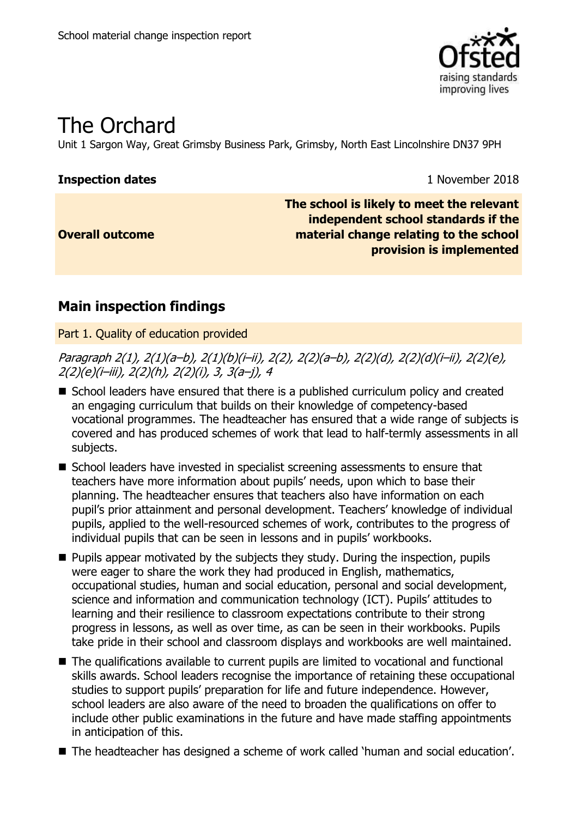

# The Orchard

Unit 1 Sargon Way, Great Grimsby Business Park, Grimsby, North East Lincolnshire DN37 9PH

### **Inspection dates** 1 November 2018

**Overall outcome**

**The school is likely to meet the relevant independent school standards if the material change relating to the school provision is implemented**

### **Main inspection findings**

Part 1. Quality of education provided

Paragraph 2(1), 2(1)(a–b), 2(1)(b)(i–ii), 2(2), 2(2)(a–b), 2(2)(d), 2(2)(d)(i–ii), 2(2)(e), 2(2)(e)(i–iii), 2(2)(h), 2(2)(i), 3, 3(a–j), 4

- School leaders have ensured that there is a published curriculum policy and created an engaging curriculum that builds on their knowledge of competency-based vocational programmes. The headteacher has ensured that a wide range of subjects is covered and has produced schemes of work that lead to half-termly assessments in all subjects.
- School leaders have invested in specialist screening assessments to ensure that teachers have more information about pupils' needs, upon which to base their planning. The headteacher ensures that teachers also have information on each pupil's prior attainment and personal development. Teachers' knowledge of individual pupils, applied to the well-resourced schemes of work, contributes to the progress of individual pupils that can be seen in lessons and in pupils' workbooks.
- $\blacksquare$  Pupils appear motivated by the subjects they study. During the inspection, pupils were eager to share the work they had produced in English, mathematics, occupational studies, human and social education, personal and social development, science and information and communication technology (ICT). Pupils' attitudes to learning and their resilience to classroom expectations contribute to their strong progress in lessons, as well as over time, as can be seen in their workbooks. Pupils take pride in their school and classroom displays and workbooks are well maintained.
- The qualifications available to current pupils are limited to vocational and functional skills awards. School leaders recognise the importance of retaining these occupational studies to support pupils' preparation for life and future independence. However, school leaders are also aware of the need to broaden the qualifications on offer to include other public examinations in the future and have made staffing appointments in anticipation of this.
- The headteacher has designed a scheme of work called 'human and social education'.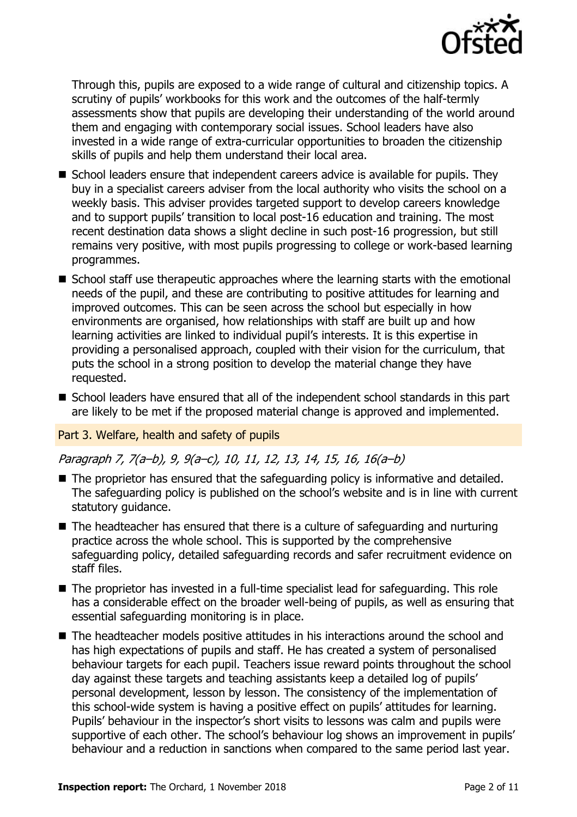

Through this, pupils are exposed to a wide range of cultural and citizenship topics. A scrutiny of pupils' workbooks for this work and the outcomes of the half-termly assessments show that pupils are developing their understanding of the world around them and engaging with contemporary social issues. School leaders have also invested in a wide range of extra-curricular opportunities to broaden the citizenship skills of pupils and help them understand their local area.

- School leaders ensure that independent careers advice is available for pupils. They buy in a specialist careers adviser from the local authority who visits the school on a weekly basis. This adviser provides targeted support to develop careers knowledge and to support pupils' transition to local post-16 education and training. The most recent destination data shows a slight decline in such post-16 progression, but still remains very positive, with most pupils progressing to college or work-based learning programmes.
- School staff use therapeutic approaches where the learning starts with the emotional needs of the pupil, and these are contributing to positive attitudes for learning and improved outcomes. This can be seen across the school but especially in how environments are organised, how relationships with staff are built up and how learning activities are linked to individual pupil's interests. It is this expertise in providing a personalised approach, coupled with their vision for the curriculum, that puts the school in a strong position to develop the material change they have requested.
- School leaders have ensured that all of the independent school standards in this part are likely to be met if the proposed material change is approved and implemented.

### Part 3. Welfare, health and safety of pupils

### Paragraph 7, 7(a–b), 9, 9(a–c), 10, 11, 12, 13, 14, 15, 16, 16(a–b)

- The proprietor has ensured that the safeguarding policy is informative and detailed. The safeguarding policy is published on the school's website and is in line with current statutory guidance.
- $\blacksquare$  The headteacher has ensured that there is a culture of safeguarding and nurturing practice across the whole school. This is supported by the comprehensive safeguarding policy, detailed safeguarding records and safer recruitment evidence on staff files.
- The proprietor has invested in a full-time specialist lead for safeguarding. This role has a considerable effect on the broader well-being of pupils, as well as ensuring that essential safeguarding monitoring is in place.
- The headteacher models positive attitudes in his interactions around the school and has high expectations of pupils and staff. He has created a system of personalised behaviour targets for each pupil. Teachers issue reward points throughout the school day against these targets and teaching assistants keep a detailed log of pupils' personal development, lesson by lesson. The consistency of the implementation of this school-wide system is having a positive effect on pupils' attitudes for learning. Pupils' behaviour in the inspector's short visits to lessons was calm and pupils were supportive of each other. The school's behaviour log shows an improvement in pupils' behaviour and a reduction in sanctions when compared to the same period last year.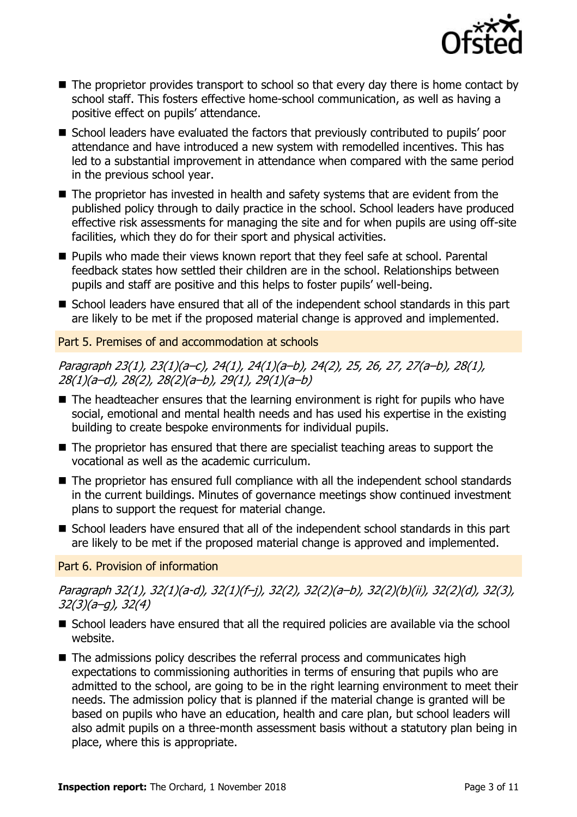

- $\blacksquare$  The proprietor provides transport to school so that every day there is home contact by school staff. This fosters effective home-school communication, as well as having a positive effect on pupils' attendance.
- School leaders have evaluated the factors that previously contributed to pupils' poor attendance and have introduced a new system with remodelled incentives. This has led to a substantial improvement in attendance when compared with the same period in the previous school year.
- The proprietor has invested in health and safety systems that are evident from the published policy through to daily practice in the school. School leaders have produced effective risk assessments for managing the site and for when pupils are using off-site facilities, which they do for their sport and physical activities.
- Pupils who made their views known report that they feel safe at school. Parental feedback states how settled their children are in the school. Relationships between pupils and staff are positive and this helps to foster pupils' well-being.
- School leaders have ensured that all of the independent school standards in this part are likely to be met if the proposed material change is approved and implemented.

### Part 5. Premises of and accommodation at schools

Paragraph 23(1), 23(1)(a–c), 24(1), 24(1)(a–b), 24(2), 25, 26, 27, 27(a–b), 28(1), 28(1)(a–d), 28(2), 28(2)(a–b), 29(1), 29(1)(a–b)

- The headteacher ensures that the learning environment is right for pupils who have social, emotional and mental health needs and has used his expertise in the existing building to create bespoke environments for individual pupils.
- The proprietor has ensured that there are specialist teaching areas to support the vocational as well as the academic curriculum.
- The proprietor has ensured full compliance with all the independent school standards in the current buildings. Minutes of governance meetings show continued investment plans to support the request for material change.
- School leaders have ensured that all of the independent school standards in this part are likely to be met if the proposed material change is approved and implemented.

### Part 6. Provision of information

Paragraph 32(1), 32(1)(a-d), 32(1)(f–j), 32(2), 32(2)(a–b), 32(2)(b)(ii), 32(2)(d), 32(3), 32(3)(a–g), 32(4)

- School leaders have ensured that all the required policies are available via the school website.
- The admissions policy describes the referral process and communicates high expectations to commissioning authorities in terms of ensuring that pupils who are admitted to the school, are going to be in the right learning environment to meet their needs. The admission policy that is planned if the material change is granted will be based on pupils who have an education, health and care plan, but school leaders will also admit pupils on a three-month assessment basis without a statutory plan being in place, where this is appropriate.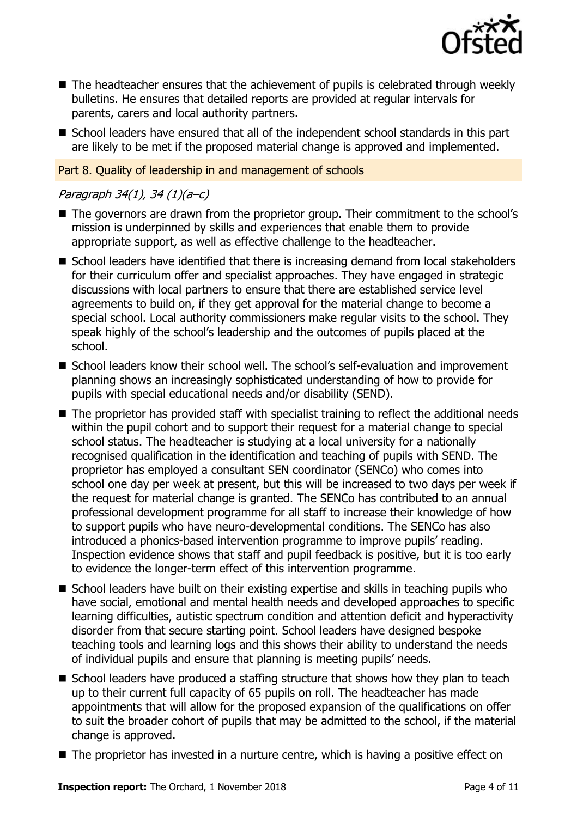

- The headteacher ensures that the achievement of pupils is celebrated through weekly bulletins. He ensures that detailed reports are provided at regular intervals for parents, carers and local authority partners.
- School leaders have ensured that all of the independent school standards in this part are likely to be met if the proposed material change is approved and implemented.

#### Part 8. Quality of leadership in and management of schools

### Paragraph 34(1), 34 (1)(a–c)

- The governors are drawn from the proprietor group. Their commitment to the school's mission is underpinned by skills and experiences that enable them to provide appropriate support, as well as effective challenge to the headteacher.
- School leaders have identified that there is increasing demand from local stakeholders for their curriculum offer and specialist approaches. They have engaged in strategic discussions with local partners to ensure that there are established service level agreements to build on, if they get approval for the material change to become a special school. Local authority commissioners make regular visits to the school. They speak highly of the school's leadership and the outcomes of pupils placed at the school.
- School leaders know their school well. The school's self-evaluation and improvement planning shows an increasingly sophisticated understanding of how to provide for pupils with special educational needs and/or disability (SEND).
- The proprietor has provided staff with specialist training to reflect the additional needs within the pupil cohort and to support their request for a material change to special school status. The headteacher is studying at a local university for a nationally recognised qualification in the identification and teaching of pupils with SEND. The proprietor has employed a consultant SEN coordinator (SENCo) who comes into school one day per week at present, but this will be increased to two days per week if the request for material change is granted. The SENCo has contributed to an annual professional development programme for all staff to increase their knowledge of how to support pupils who have neuro-developmental conditions. The SENCo has also introduced a phonics-based intervention programme to improve pupils' reading. Inspection evidence shows that staff and pupil feedback is positive, but it is too early to evidence the longer-term effect of this intervention programme.
- School leaders have built on their existing expertise and skills in teaching pupils who have social, emotional and mental health needs and developed approaches to specific learning difficulties, autistic spectrum condition and attention deficit and hyperactivity disorder from that secure starting point. School leaders have designed bespoke teaching tools and learning logs and this shows their ability to understand the needs of individual pupils and ensure that planning is meeting pupils' needs.
- School leaders have produced a staffing structure that shows how they plan to teach up to their current full capacity of 65 pupils on roll. The headteacher has made appointments that will allow for the proposed expansion of the qualifications on offer to suit the broader cohort of pupils that may be admitted to the school, if the material change is approved.
- The proprietor has invested in a nurture centre, which is having a positive effect on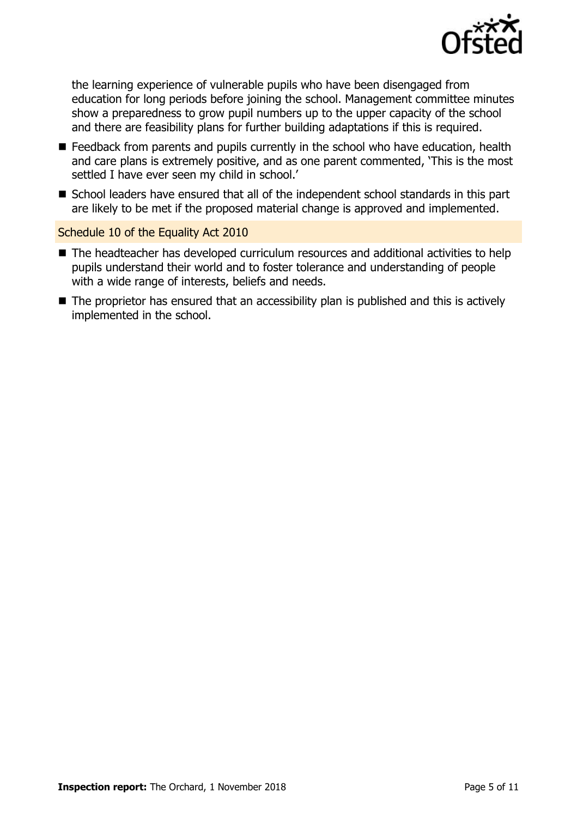

the learning experience of vulnerable pupils who have been disengaged from education for long periods before joining the school. Management committee minutes show a preparedness to grow pupil numbers up to the upper capacity of the school and there are feasibility plans for further building adaptations if this is required.

- Feedback from parents and pupils currently in the school who have education, health and care plans is extremely positive, and as one parent commented, 'This is the most settled I have ever seen my child in school.'
- School leaders have ensured that all of the independent school standards in this part are likely to be met if the proposed material change is approved and implemented.

### Schedule 10 of the Equality Act 2010

- The headteacher has developed curriculum resources and additional activities to help pupils understand their world and to foster tolerance and understanding of people with a wide range of interests, beliefs and needs.
- The proprietor has ensured that an accessibility plan is published and this is actively implemented in the school.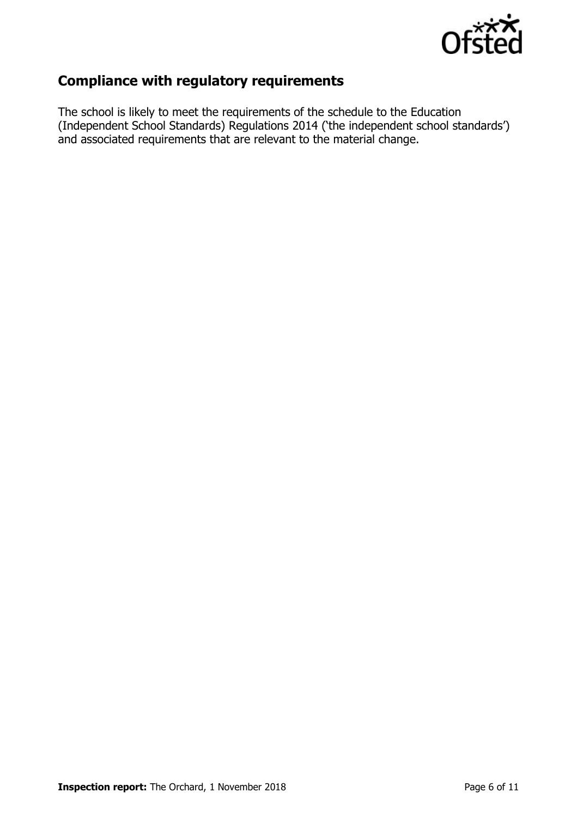

### **Compliance with regulatory requirements**

The school is likely to meet the requirements of the schedule to the Education (Independent School Standards) Regulations 2014 ('the independent school standards') and associated requirements that are relevant to the material change.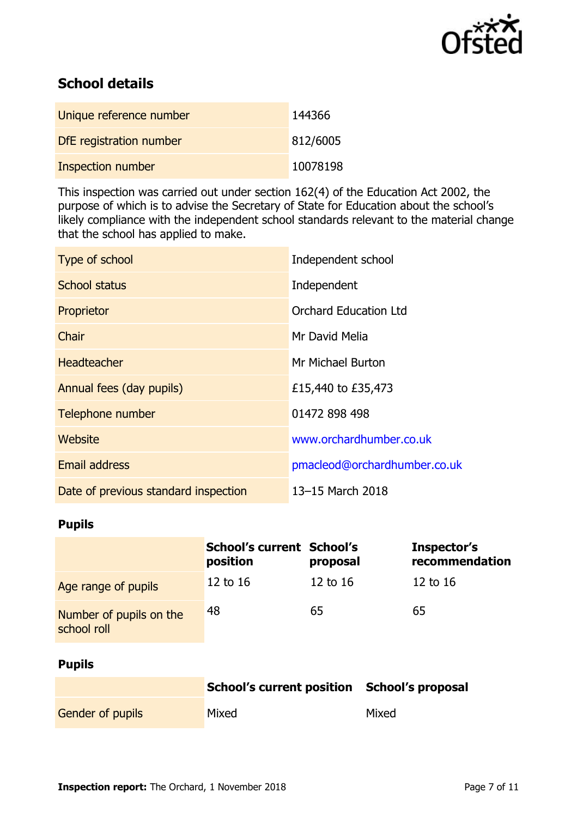

## **School details**

| Unique reference number  | 144366   |
|--------------------------|----------|
| DfE registration number  | 812/6005 |
| <b>Inspection number</b> | 10078198 |

This inspection was carried out under section 162(4) of the Education Act 2002, the purpose of which is to advise the Secretary of State for Education about the school's likely compliance with the independent school standards relevant to the material change that the school has applied to make.

| Type of school                       | Independent school           |
|--------------------------------------|------------------------------|
| <b>School status</b>                 | Independent                  |
| Proprietor                           | <b>Orchard Education Ltd</b> |
| Chair                                | Mr David Melia               |
| <b>Headteacher</b>                   | Mr Michael Burton            |
| Annual fees (day pupils)             | £15,440 to £35,473           |
| Telephone number                     | 01472 898 498                |
| Website                              | www.orchardhumber.co.uk      |
| <b>Email address</b>                 | pmacleod@orchardhumber.co.uk |
| Date of previous standard inspection | 13-15 March 2018             |

### **Pupils**

|                                        | <b>School's current School's</b><br>position | proposal | Inspector's<br>recommendation |
|----------------------------------------|----------------------------------------------|----------|-------------------------------|
| Age range of pupils                    | 12 to 16                                     | 12 to 16 | $12$ to $16$                  |
| Number of pupils on the<br>school roll | 48                                           | 65       | 65                            |

### **Pupils**

|                         | School's current position School's proposal |       |
|-------------------------|---------------------------------------------|-------|
| <b>Gender of pupils</b> | Mixed                                       | Mixed |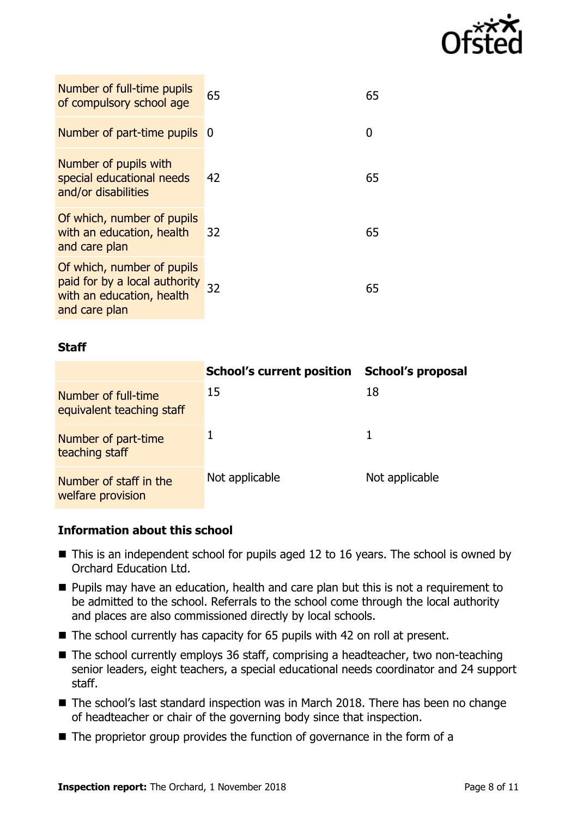

| Number of full-time pupils<br>of compulsory school age                                                    | 65  | 65 |
|-----------------------------------------------------------------------------------------------------------|-----|----|
| Number of part-time pupils                                                                                | - 0 |    |
| Number of pupils with<br>special educational needs<br>and/or disabilities                                 | 42  | 65 |
| Of which, number of pupils<br>with an education, health<br>and care plan                                  | 32  | 65 |
| Of which, number of pupils<br>paid for by a local authority<br>with an education, health<br>and care plan | 32  | 65 |

### **Staff**

|                                                  | <b>School's current position</b> | <b>School's proposal</b> |
|--------------------------------------------------|----------------------------------|--------------------------|
| Number of full-time<br>equivalent teaching staff | 15                               | 18                       |
| Number of part-time<br>teaching staff            |                                  |                          |
| Number of staff in the<br>welfare provision      | Not applicable                   | Not applicable           |

### **Information about this school**

- This is an independent school for pupils aged 12 to 16 years. The school is owned by Orchard Education Ltd.
- **Pupils may have an education, health and care plan but this is not a requirement to** be admitted to the school. Referrals to the school come through the local authority and places are also commissioned directly by local schools.
- The school currently has capacity for 65 pupils with 42 on roll at present.
- The school currently employs 36 staff, comprising a headteacher, two non-teaching senior leaders, eight teachers, a special educational needs coordinator and 24 support staff.
- The school's last standard inspection was in March 2018. There has been no change of headteacher or chair of the governing body since that inspection.
- The proprietor group provides the function of governance in the form of a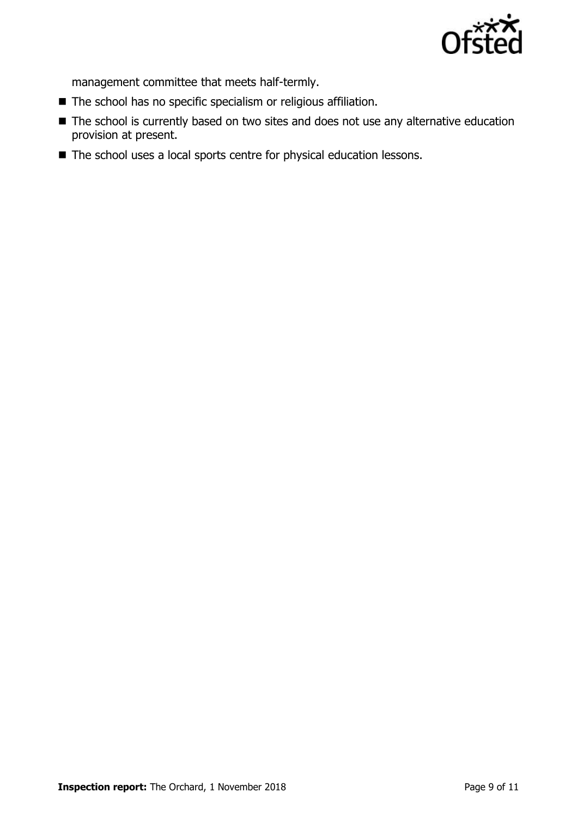

management committee that meets half-termly.

- The school has no specific specialism or religious affiliation.
- The school is currently based on two sites and does not use any alternative education provision at present.
- The school uses a local sports centre for physical education lessons.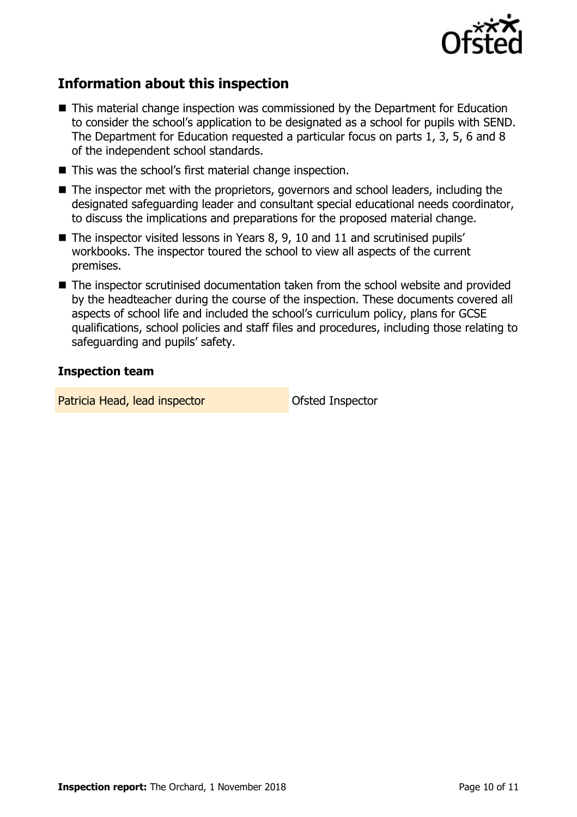

### **Information about this inspection**

- This material change inspection was commissioned by the Department for Education to consider the school's application to be designated as a school for pupils with SEND. The Department for Education requested a particular focus on parts 1, 3, 5, 6 and 8 of the independent school standards.
- This was the school's first material change inspection.
- The inspector met with the proprietors, governors and school leaders, including the designated safeguarding leader and consultant special educational needs coordinator, to discuss the implications and preparations for the proposed material change.
- The inspector visited lessons in Years 8, 9, 10 and 11 and scrutinised pupils' workbooks. The inspector toured the school to view all aspects of the current premises.
- The inspector scrutinised documentation taken from the school website and provided by the headteacher during the course of the inspection. These documents covered all aspects of school life and included the school's curriculum policy, plans for GCSE qualifications, school policies and staff files and procedures, including those relating to safeguarding and pupils' safety.

### **Inspection team**

Patricia Head, lead inspector and Ofsted Inspector